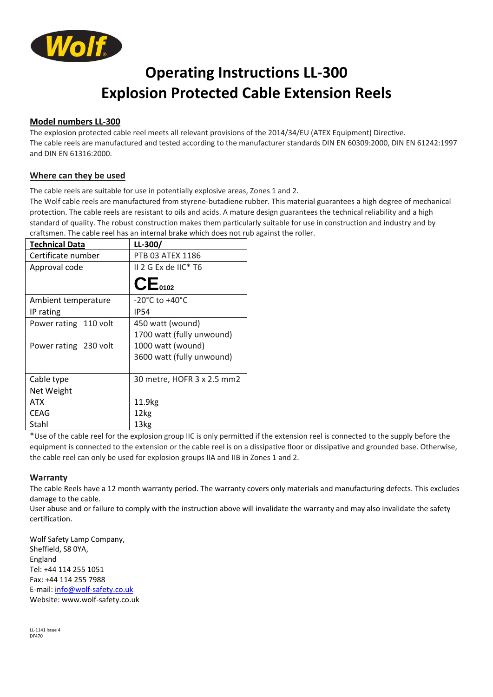

# **Operating Instructions LL-300 Explosion Protected Cable Extension Reels**

### **Model numbers LL-300**

The explosion protected cable reel meets all relevant provisions of the 2014/34/EU (ATEX Equipment) Directive. The cable reels are manufactured and tested according to the manufacturer standards DIN EN 60309:2000, DIN EN 61242:1997 and DIN EN 61316:2000.

### **Where can they be used**

The cable reels are suitable for use in potentially explosive areas, Zones 1 and 2.

The Wolf cable reels are manufactured from styrene-butadiene rubber. This material guarantees a high degree of mechanical protection. The cable reels are resistant to oils and acids. A mature design guarantees the technical reliability and a high standard of quality. The robust construction makes them particularly suitable for use in construction and industry and by craftsmen. The cable reel has an internal brake which does not rub against the roller.

| <b>Technical Data</b> | $LL-300/$                          |  |
|-----------------------|------------------------------------|--|
| Certificate number    | PTB 03 ATEX 1186                   |  |
| Approval code         | II 2 G Ex de IIC* T6               |  |
|                       | CE <sub>0102</sub>                 |  |
| Ambient temperature   | $-20^{\circ}$ C to $+40^{\circ}$ C |  |
| IP rating             | <b>IP54</b>                        |  |
| Power rating 110 volt | 450 watt (wound)                   |  |
|                       | 1700 watt (fully unwound)          |  |
| Power rating 230 volt | 1000 watt (wound)                  |  |
|                       | 3600 watt (fully unwound)          |  |
|                       |                                    |  |
| Cable type            | 30 metre, HOFR 3 x 2.5 mm2         |  |
| Net Weight            |                                    |  |
| ATX                   | 11.9kg                             |  |
| <b>CEAG</b>           | 12kg                               |  |
| Stahl                 | 13kg                               |  |

\*Use of the cable reel for the explosion group IIC is only permitted if the extension reel is connected to the supply before the equipment is connected to the extension or the cable reel is on a dissipative floor or dissipative and grounded base. Otherwise, the cable reel can only be used for explosion groups IIA and IIB in Zones 1 and 2.

#### **Warranty**

The cable Reels have a 12 month warranty period. The warranty covers only materials and manufacturing defects. This excludes damage to the cable.

User abuse and or failure to comply with the instruction above will invalidate the warranty and may also invalidate the safety certification.

Wolf Safety Lamp Company, Sheffield, S8 0YA, England Tel: +44 114 255 1051 Fax: +44 114 255 7988 E-mail[: info@wolf-safety.co.uk](mailto:info@wolf-safety.co.uk) Website[: www.wolf-safety.co.uk](http://www.wolf-safety.co.uk/)

LL-1141 issue 4 DF470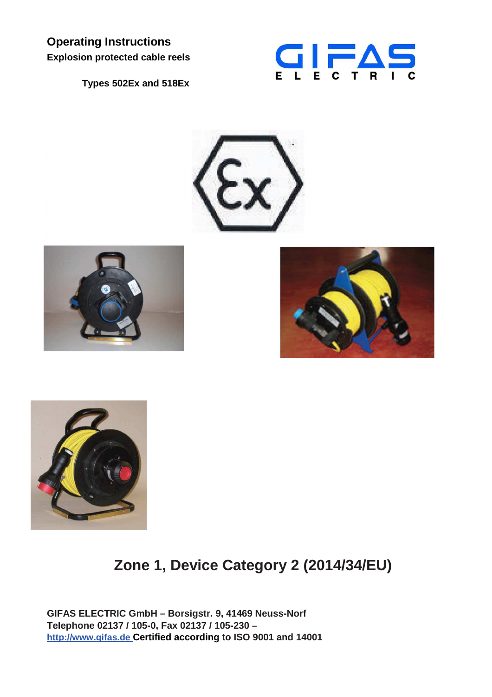**Operating Instructions Explosion protected cable reels** 

**Types 502Ex and 518Ex** 











**Zone 1, Device Category 2 (2014/34/EU)** 

**GIFAS ELECTRIC GmbH – Borsigstr. 9, 41469 Neuss-Norf Telephone 02137 / 105-0, Fax 02137 / 105-230 – http://www.gifas.de Certified according to ISO 9001 and 14001**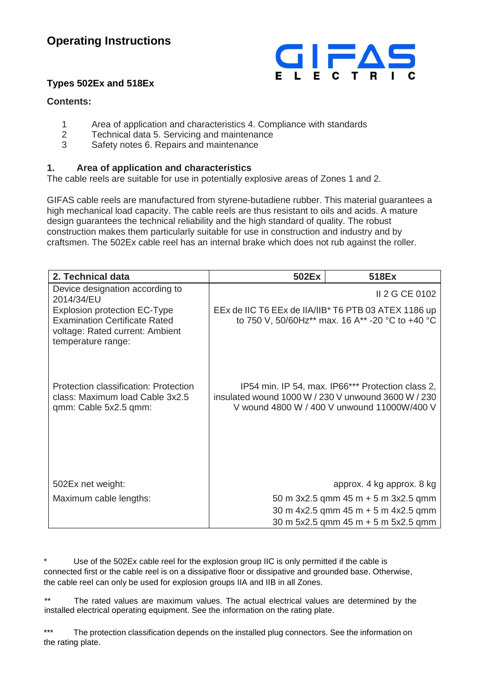## **Operating Instructions**



## **Types 502Ex and 518Ex**

## **Contents:**

- 1 Area of application and characteristics 4. Compliance with standards<br>2 Technical data 5. Servicing and maintenance
- 2 Technical data 5. Servicing and maintenance
- 3 Safety notes 6. Repairs and maintenance

## **1. Area of application and characteristics**

The cable reels are suitable for use in potentially explosive areas of Zones 1 and 2.

GIFAS cable reels are manufactured from styrene-butadiene rubber. This material guarantees a high mechanical load capacity. The cable reels are thus resistant to oils and acids. A mature design guarantees the technical reliability and the high standard of quality. The robust construction makes them particularly suitable for use in construction and industry and by craftsmen. The 502Ex cable reel has an internal brake which does not rub against the roller.

| 2. Technical data                                                                                                                    | 502Ex | 518Ex                                                                                                                                                   |
|--------------------------------------------------------------------------------------------------------------------------------------|-------|---------------------------------------------------------------------------------------------------------------------------------------------------------|
| Device designation according to<br>2014/34/EU                                                                                        |       | II 2 G CE 0102                                                                                                                                          |
| <b>Explosion protection EC-Type</b><br><b>Examination Certificate Rated</b><br>voltage: Rated current: Ambient<br>temperature range: |       | EEx de IIC T6 EEx de IIA/IIB* T6 PTB 03 ATEX 1186 up<br>to 750 V, 50/60Hz** max. 16 A** -20 °C to +40 °C                                                |
| Protection classification: Protection<br>class: Maximum load Cable 3x2.5<br>qmm: Cable 5x2.5 qmm:                                    |       | IP54 min. IP 54, max. IP66*** Protection class 2,<br>insulated wound 1000 W / 230 V unwound 3600 W / 230<br>V wound 4800 W / 400 V unwound 11000W/400 V |
| 502Ex net weight:                                                                                                                    |       | approx. 4 kg approx. 8 kg                                                                                                                               |
| Maximum cable lengths:                                                                                                               |       | 50 m $3x2.5$ qmm 45 m + 5 m $3x2.5$ qmm                                                                                                                 |
|                                                                                                                                      |       | 30 m 4x2.5 qmm 45 m + 5 m 4x2.5 qmm                                                                                                                     |
|                                                                                                                                      |       | 30 m $5x2.5$ qmm $45$ m $+$ 5 m $5x2.5$ qmm                                                                                                             |

Use of the 502Ex cable reel for the explosion group IIC is only permitted if the cable is connected first or the cable reel is on a dissipative floor or dissipative and grounded base. Otherwise, the cable reel can only be used for explosion groups IIA and IIB in all Zones.

\*\* The rated values are maximum values. The actual electrical values are determined by the installed electrical operating equipment. See the information on the rating plate.

\*\*\* The protection classification depends on the installed plug connectors. See the information on the rating plate.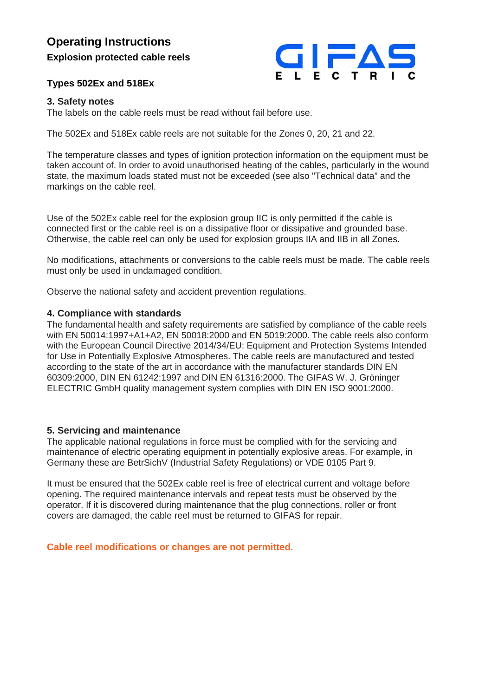## **Operating Instructions**

**Explosion protected cable reels** 

## **Types 502Ex and 518Ex**



### **3. Safety notes**

The labels on the cable reels must be read without fail before use.

The 502Ex and 518Ex cable reels are not suitable for the Zones 0, 20, 21 and 22.

The temperature classes and types of ignition protection information on the equipment must be taken account of. In order to avoid unauthorised heating of the cables, particularly in the wound state, the maximum loads stated must not be exceeded (see also "Technical data" and the markings on the cable reel.

Use of the 502Ex cable reel for the explosion group IIC is only permitted if the cable is connected first or the cable reel is on a dissipative floor or dissipative and grounded base. Otherwise, the cable reel can only be used for explosion groups IIA and IIB in all Zones.

No modifications, attachments or conversions to the cable reels must be made. The cable reels must only be used in undamaged condition.

Observe the national safety and accident prevention regulations.

### **4. Compliance with standards**

The fundamental health and safety requirements are satisfied by compliance of the cable reels with EN 50014:1997+A1+A2, EN 50018:2000 and EN 5019:2000. The cable reels also conform with the European Council Directive 2014/34/EU: Equipment and Protection Systems Intended for Use in Potentially Explosive Atmospheres. The cable reels are manufactured and tested according to the state of the art in accordance with the manufacturer standards DIN EN 60309:2000, DIN EN 61242:1997 and DIN EN 61316:2000. The GIFAS W. J. Gröninger ELECTRIC GmbH quality management system complies with DIN EN ISO 9001:2000.

### **5. Servicing and maintenance**

The applicable national regulations in force must be complied with for the servicing and maintenance of electric operating equipment in potentially explosive areas. For example, in Germany these are BetrSichV (Industrial Safety Regulations) or VDE 0105 Part 9.

It must be ensured that the 502Ex cable reel is free of electrical current and voltage before opening. The required maintenance intervals and repeat tests must be observed by the operator. If it is discovered during maintenance that the plug connections, roller or front covers are damaged, the cable reel must be returned to GIFAS for repair.

**Cable reel modifications or changes are not permitted.**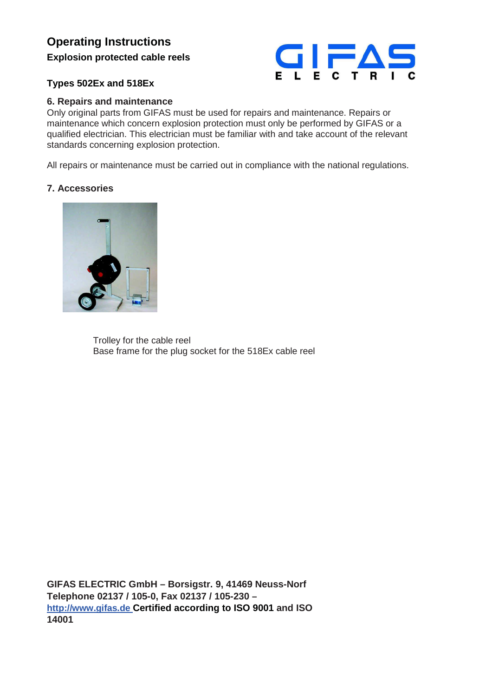## **Operating Instructions**

**Explosion protected cable reels** 



## **Types 502Ex and 518Ex**

## **6. Repairs and maintenance**

Only original parts from GIFAS must be used for repairs and maintenance. Repairs or maintenance which concern explosion protection must only be performed by GIFAS or a qualified electrician. This electrician must be familiar with and take account of the relevant standards concerning explosion protection.

All repairs or maintenance must be carried out in compliance with the national regulations.

## **7. Accessories**



 Trolley for the cable reel Base frame for the plug socket for the 518Ex cable reel

**GIFAS ELECTRIC GmbH – Borsigstr. 9, 41469 Neuss-Norf Telephone 02137 / 105-0, Fax 02137 / 105-230 – http://www.gifas.de Certified according to ISO 9001 and ISO 14001**